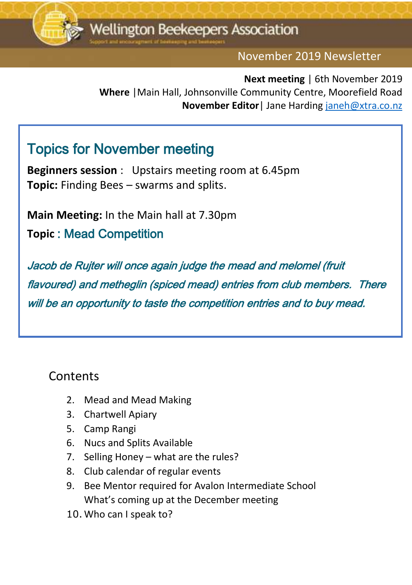

November 2019 Newsletter

Ededit

**Next meeting** | 6th November 2019 **Where** |Main Hall, Johnsonville Community Centre, Moorefield Road **November Editor**| Jane Harding [janeh@xtra.co.nz](mailto:janeh@xtra.co.nz)

### Topics for November meeting

**Beginners session** : Upstairs meeting room at 6.45pm **Topic:** Finding Bees – swarms and splits.

**Main Meeting:** In the Main hall at 7.30pm

**Topic** : Mead Competition

Jacob de Rujter will once again judge the mead and melomel (fruit flavoured) and metheglin (spiced mead) entries from club members. There will be an opportunity to taste the competition entries and to buy mead.

#### **Contents**

- 2. Mead and Mead Making
- 3. Chartwell Apiary
- 5. Camp Rangi
- 6. Nucs and Splits Available
- 7. Selling Honey what are the rules?
- 8. Club calendar of regular events
- 9. Bee Mentor required for Avalon Intermediate School What's coming up at the December meeting
- 10. Who can I speak to?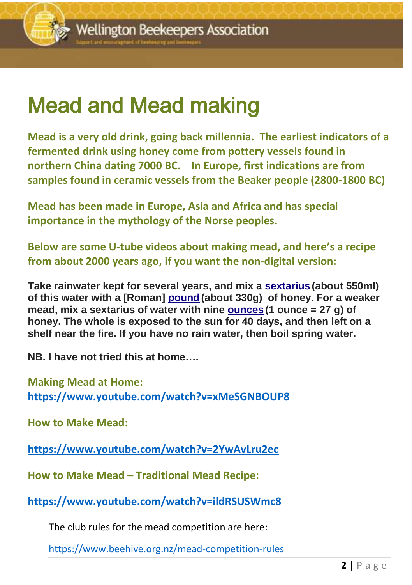### Mead and Mead making

**Mead is a very old drink, going back millennia. The earliest indicators of a fermented drink using honey come from pottery vessels found in northern China dating 7000 BC. In Europe, first indications are from samples found in ceramic vessels from the Beaker people (2800-1800 BC)**

**Mead has been made in Europe, Asia and Africa and has special importance in the mythology of the Norse peoples.**

**Below are some U-tube videos about making mead, and here's a recipe from about 2000 years ago, if you want the non-digital version:**

**Take rainwater kept for several years, and mix a [sextarius](https://en.wikipedia.org/wiki/Ancient_Roman_units_of_measurement) (about 550ml) of this water with a [Roman] [pound\(](https://en.wikipedia.org/wiki/Ancient_Roman_units_of_measurement)about 330g) of honey. For a weaker mead, mix a sextarius of water with nine [ounces](https://en.wikipedia.org/wiki/Ancient_Roman_units_of_measurement) (1 ounce = 27 g) of honey. The whole is exposed to the sun for 40 days, and then left on a shelf near the fire. If you have no rain water, then boil spring water.**

**NB. I have not tried this at home….**

**Making Mead at Home: <https://www.youtube.com/watch?v=xMeSGNBOUP8>**

**How to Make Mead:**

**<https://www.youtube.com/watch?v=2YwAvLru2ec>**

**How to Make Mead – Traditional Mead Recipe:**

**<https://www.youtube.com/watch?v=ildRSUSWmc8>**

The club rules for the mead competition are here:

<https://www.beehive.org.nz/mead-competition-rules>

<u>december 2016 newsletter</u>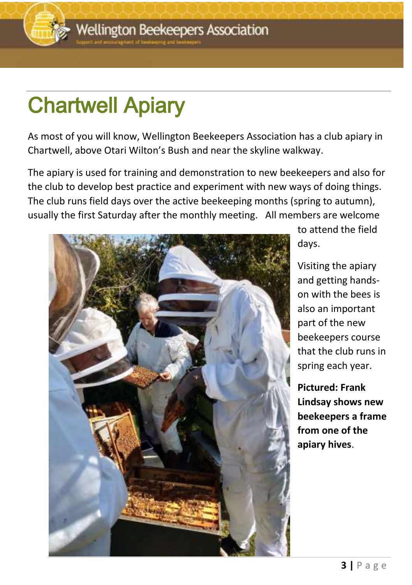# Chartwell Apiary

As most of you will know, Wellington Beekeepers Association has a club apiary in Chartwell, above Otari Wilton's Bush and near the skyline walkway.

The apiary is used for training and demonstration to new beekeepers and also for the club to develop best practice and experiment with new ways of doing things. The club runs field days over the active beekeeping months (spring to autumn), usually the first Saturday after the monthly meeting. All members are welcome



to attend the field days.

<u>december 2016 newsletter</u>

Visiting the apiary and getting handson with the bees is also an important part of the new beekeepers course that the club runs in spring each year.

**Pictured: Frank Lindsay shows new beekeepers a frame from one of the apiary hives**.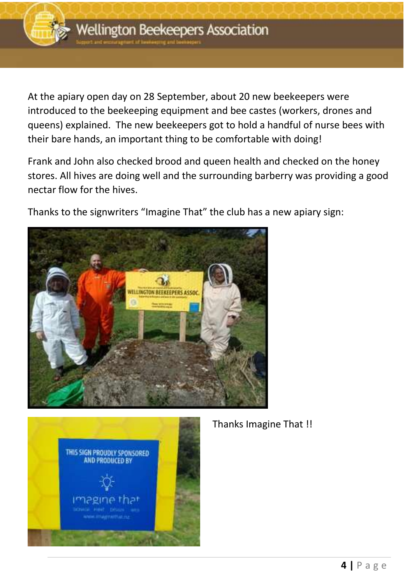

At the apiary open day on 28 September, about 20 new beekeepers were introduced to the beekeeping equipment and bee castes (workers, drones and queens) explained. The new beekeepers got to hold a handful of nurse bees with their bare hands, an important thing to be comfortable with doing!

Frank and John also checked brood and queen health and checked on the honey stores. All hives are doing well and the surrounding barberry was providing a good nectar flow for the hives.

Thanks to the signwriters "Imagine That" the club has a new apiary sign:





Thanks Imagine That !!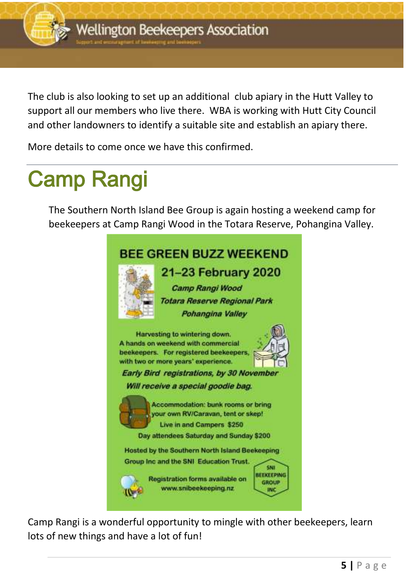

The club is also looking to set up an additional club apiary in the Hutt Valley to support all our members who live there. WBA is working with Hutt City Council and other landowners to identify a suitable site and establish an apiary there.

More details to come once we have this confirmed.

## Camp Rangi

The Southern North Island Bee Group is again hosting a weekend camp for beekeepers at Camp Rangi Wood in the Totara Reserve, Pohangina Valley.



Camp Rangi is a wonderful opportunity to mingle with other beekeepers, learn lots of new things and have a lot of fun!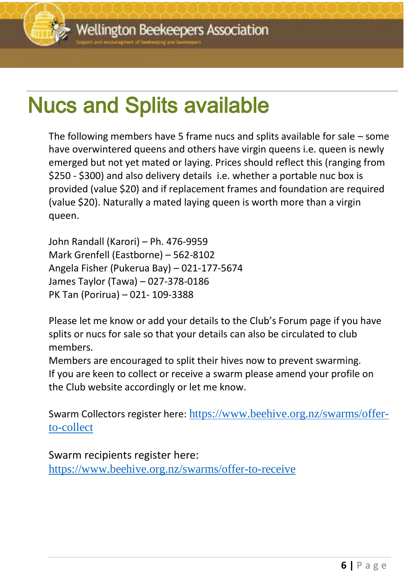## Nucs and Splits available

The following members have 5 frame nucs and splits available for sale – some have overwintered queens and others have virgin queens i.e. queen is newly emerged but not yet mated or laying. Prices should reflect this (ranging from \$250 - \$300) and also delivery details i.e. whether a portable nuc box is provided (value \$20) and if replacement frames and foundation are required (value \$20). Naturally a mated laying queen is worth more than a virgin queen.

John Randall (Karori) – Ph. 476-9959 Mark Grenfell (Eastborne) – 562-8102 Angela Fisher (Pukerua Bay) – 021-177-5674 James Taylor (Tawa) – 027-378-0186 PK Tan (Porirua) – 021- 109-3388

Please let me know or add your details to the Club's Forum page if you have splits or nucs for sale so that your details can also be circulated to club members.

Members are encouraged to split their hives now to prevent swarming. If you are keen to collect or receive a swarm please amend your profile on the Club website accordingly or let me know.

Swarm Collectors register here: [https://www.beehive.org.nz/swarms/offer](https://www.beehive.org.nz/swarms/offer-to-collect)[to-collect](https://www.beehive.org.nz/swarms/offer-to-collect)

Swarm recipients register here:

<https://www.beehive.org.nz/swarms/offer-to-receive>

<u>december 2016 newsletter</u>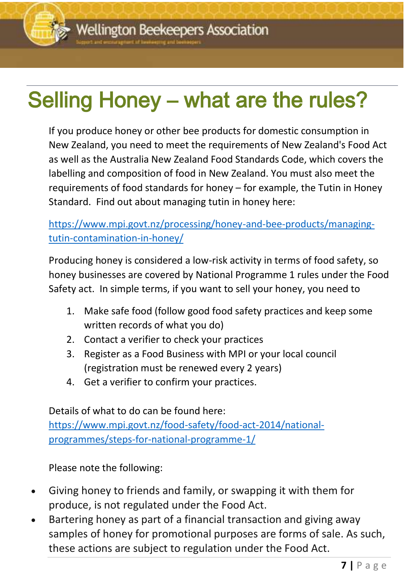### $\overline{\phantom{a}}$ Selling Honey – what are the rules?

If you produce honey or other bee products for domestic consumption in New Zealand, you need to meet the requirements of New Zealand's Food Act as well as the Australia New Zealand Food Standards Code, which covers the labelling and composition of food in New Zealand. You must also meet the requirements of food standards for honey – for example, the Tutin in Honey Standard. Find out about managing tutin in honey here:

[https://www.mpi.govt.nz/processing/honey-and-bee-products/managing](https://www.mpi.govt.nz/processing/honey-and-bee-products/managing-tutin-contamination-in-honey/)[tutin-contamination-in-honey/](https://www.mpi.govt.nz/processing/honey-and-bee-products/managing-tutin-contamination-in-honey/)

Producing honey is considered a low-risk activity in terms of food safety, so honey businesses are covered by National Programme 1 rules under the Food Safety act. In simple terms, if you want to sell your honey, you need to

- 1. Make safe food (follow good food safety practices and keep some written records of what you do)
- 2. Contact a verifier to check your practices
- 3. Register as a Food Business with MPI or your local council (registration must be renewed every 2 years)
- 4. Get a verifier to confirm your practices.

Details of what to do can be found here: [https://www.mpi.govt.nz/food-safety/food-act-2014/national](https://www.mpi.govt.nz/food-safety/food-act-2014/national-programmes/steps-for-national-programme-1/)[programmes/steps-for-national-programme-1/](https://www.mpi.govt.nz/food-safety/food-act-2014/national-programmes/steps-for-national-programme-1/)

Please note the following:

- Giving honey to friends and family, or swapping it with them for produce, is not regulated under the Food Act.
- Bartering honey as part of a financial transaction and giving away samples of honey for promotional purposes are forms of sale. As such, these actions are subject to regulation under the Food Act.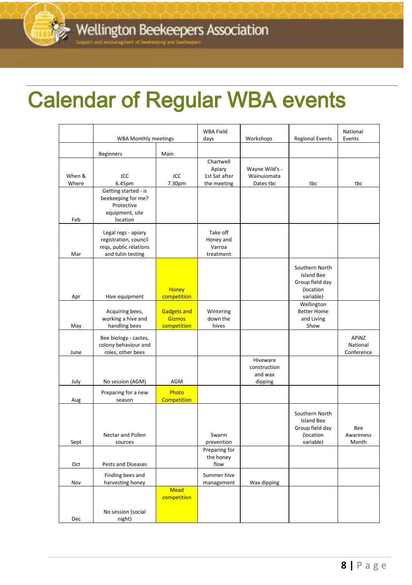### <u>december</u> 2016 newsletter Calendar of Regular WBA events

|                 | <b>WBA Monthly meetings</b>                                                                 |                                                    | <b>WBA Field</b><br>days                            | Workshops                                      | <b>Regional Events</b>                                                           | National<br>Events              |
|-----------------|---------------------------------------------------------------------------------------------|----------------------------------------------------|-----------------------------------------------------|------------------------------------------------|----------------------------------------------------------------------------------|---------------------------------|
|                 | <b>Beginners</b>                                                                            | Main                                               |                                                     |                                                |                                                                                  |                                 |
| When &<br>Where | JCC<br>6.45pm                                                                               | JCC<br>7.30pm                                      | Chartwell<br>Apiary<br>1st Sat after<br>the meeting | Wayne Wild's -<br>Wainuiomata<br>Dates tbc     | tbc                                                                              | tbc                             |
| Feb             | Getting started - is<br>beekeeping for me?<br>Protective<br>equipment, site<br>location     |                                                    |                                                     |                                                |                                                                                  |                                 |
| Mar             | Legal regs - apiary<br>registration, council<br>regs, public relations<br>and tutin testing |                                                    | Take off<br>Honey and<br>Varroa<br>treatment        |                                                |                                                                                  |                                 |
| Apr             | Hive equipment                                                                              | <b>Honey</b><br>competition                        |                                                     |                                                | Southern North<br><b>Island Bee</b><br>Group field day<br>(location<br>variable) |                                 |
| May             | Acquiring bees,<br>working a hive and<br>handling bees                                      | <b>Gadgets and</b><br><b>Gizmos</b><br>competition | Wintering<br>down the<br>hives                      |                                                | Wellington<br><b>Better Home</b><br>and Living<br>Show                           |                                 |
| June            | Bee biology - castes,<br>colony behaviour and<br>roles, other bees                          |                                                    |                                                     |                                                |                                                                                  | APINZ<br>National<br>Conference |
| July            | No session (AGM)                                                                            | <b>AGM</b>                                         |                                                     | Hiveware<br>construction<br>and wax<br>dipping |                                                                                  |                                 |
| Aug             | Preparing for a new<br>season                                                               | Photo<br><b>Competition</b>                        |                                                     |                                                |                                                                                  |                                 |
| Sept            | Nectar and Pollen<br>sources                                                                |                                                    | Swarm<br>prevention                                 |                                                | Southern North<br><b>Island Bee</b><br>Group field day<br>(location<br>variable) | Bee<br>Awareness<br>Month       |
| Oct             | Pests and Diseases                                                                          |                                                    | Preparing for<br>the honey<br>flow                  |                                                |                                                                                  |                                 |
| Nov             | Finding bees and<br>harvesting honey                                                        |                                                    | Summer hive<br>management                           | Wax dipping                                    |                                                                                  |                                 |
| Dec             | No session (social<br>night)                                                                | <b>Mead</b><br>competition                         |                                                     |                                                |                                                                                  |                                 |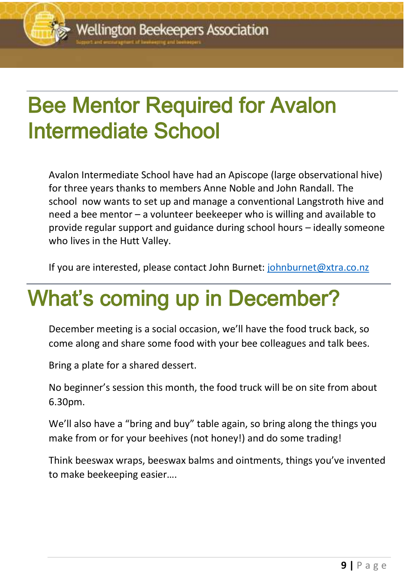### <u>december 2016 newsletter</u> Bee Mentor Required for Avalon Intermediate School

Avalon Intermediate School have had an Apiscope (large observational hive) for three years thanks to members Anne Noble and John Randall. The school now wants to set up and manage a conventional Langstroth hive and need a bee mentor – a volunteer beekeeper who is willing and available to provide regular support and guidance during school hours – ideally someone who lives in the Hutt Valley.

If you are interested, please contact John Burnet: [johnburnet@xtra.co.nz](mailto:johnburnet@xtra.co.nz)

### What's coming up in December?

December meeting is a social occasion, we'll have the food truck back, so come along and share some food with your bee colleagues and talk bees.

Bring a plate for a shared dessert.

No beginner's session this month, the food truck will be on site from about 6.30pm.

We'll also have a "bring and buy" table again, so bring along the things you make from or for your beehives (not honey!) and do some trading!

Think beeswax wraps, beeswax balms and ointments, things you've invented to make beekeeping easier….